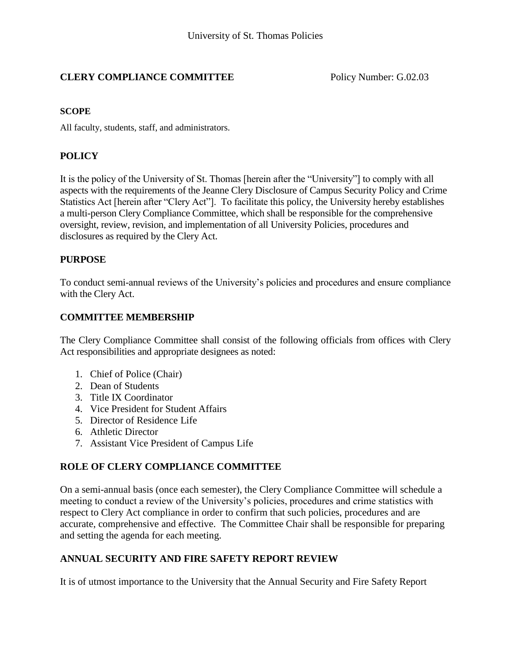# **CLERY COMPLIANCE COMMITTEE** Policy Number: G.02.03

#### **SCOPE**

All faculty, students, staff, and administrators.

# **POLICY**

It is the policy of the University of St. Thomas [herein after the "University"] to comply with all aspects with the requirements of the Jeanne Clery Disclosure of Campus Security Policy and Crime Statistics Act [herein after "Clery Act"]. To facilitate this policy, the University hereby establishes a multi-person Clery Compliance Committee, which shall be responsible for the comprehensive oversight, review, revision, and implementation of all University Policies, procedures and disclosures as required by the Clery Act.

### **PURPOSE**

To conduct semi-annual reviews of the University's policies and procedures and ensure compliance with the Clery Act.

### **COMMITTEE MEMBERSHIP**

The Clery Compliance Committee shall consist of the following officials from offices with Clery Act responsibilities and appropriate designees as noted:

- 1. Chief of Police (Chair)
- 2. Dean of Students
- 3. Title IX Coordinator
- 4. Vice President for Student Affairs
- 5. Director of Residence Life
- 6. Athletic Director
- 7. Assistant Vice President of Campus Life

# **ROLE OF CLERY COMPLIANCE COMMITTEE**

On a semi-annual basis (once each semester), the Clery Compliance Committee will schedule a meeting to conduct a review of the University's policies, procedures and crime statistics with respect to Clery Act compliance in order to confirm that such policies, procedures and are accurate, comprehensive and effective. The Committee Chair shall be responsible for preparing and setting the agenda for each meeting.

# **ANNUAL SECURITY AND FIRE SAFETY REPORT REVIEW**

It is of utmost importance to the University that the Annual Security and Fire Safety Report